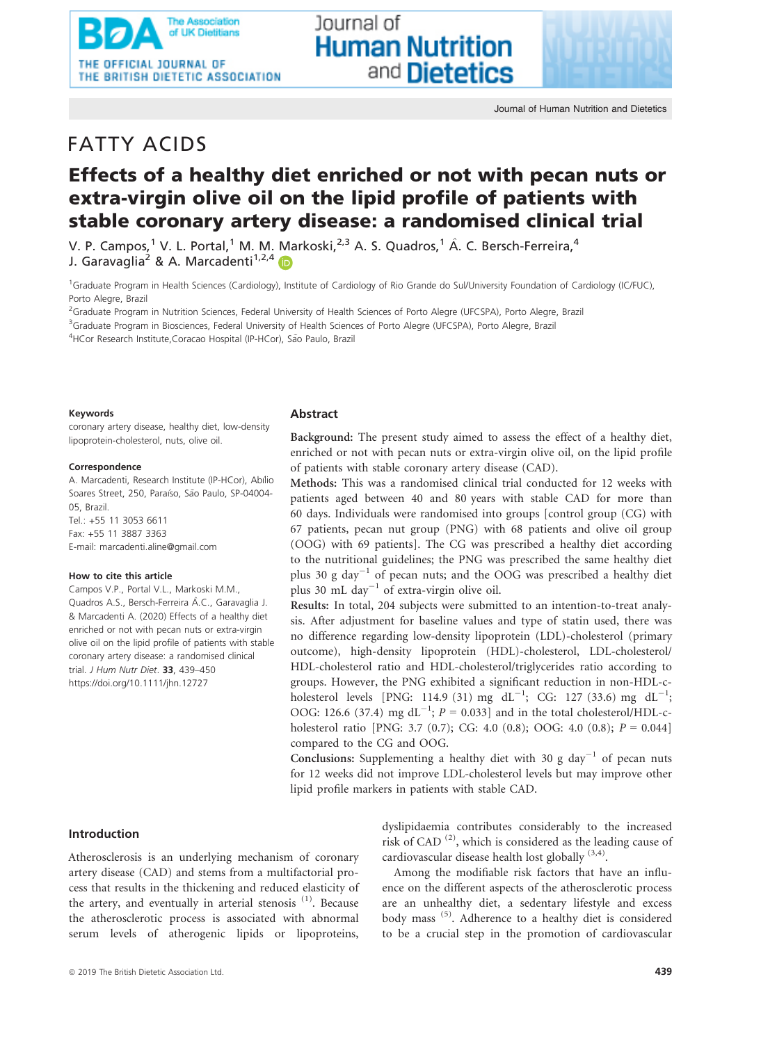Journal of Human Nutrition and Dietetics

# FATTY ACIDS

# Effects of a healthy diet enriched or not with pecan nuts or extra-virgin olive oil on the lipid profile of patients with stable coronary artery disease: a randomised clinical trial

Journal of

**Human Nutrition** 

and **Dietetics** 

V. P. Campos,<sup>1</sup> V. L. Portal,<sup>1</sup> M. M. Markoski,<sup>2,3</sup> A. S. Quadros,<sup>1</sup> Â. C. Bersch-Ferreira,<sup>4</sup> J. Garavaglia<sup>2</sup> & A. Marcadenti<sup>1,2,4</sup>

<sup>1</sup>Graduate Program in Health Sciences (Cardiology), Institute of Cardiology of Rio Grande do Sul/University Foundation of Cardiology (IC/FUC), Porto Alegre, Brazil

<sup>2</sup>Graduate Program in Nutrition Sciences, Federal University of Health Sciences of Porto Alegre (UFCSPA), Porto Alegre, Brazil <sup>3</sup>Graduate Program in Biosciences, Federal University of Health Sciences of Porto Alegre (UFCSPA), Porto Alegre, Brazil <sup>4</sup>HCor Research Institute, Coracao Hospital (IP-HCor), São Paulo, Brazil

#### Keywords

coronary artery disease, healthy diet, low-density lipoprotein-cholesterol, nuts, olive oil.

#### Correspondence

A. Marcadenti, Research Institute (IP-HCor), Abílio Soares Street, 250, Paraíso, São Paulo, SP-04004-05, Brazil. Tel.: +55 11 3053 6611 Fax: +55 11 3887 3363 E-mail: [marcadenti.aline@gmail.com](mailto:)

#### How to cite this article

Campos V.P., Portal V.L., Markoski M.M., Quadros A.S., Bersch-Ferreira A.C., Garavaglia J. & Marcadenti A. (2020) Effects of a healthy diet enriched or not with pecan nuts or extra-virgin olive oil on the lipid profile of patients with stable coronary artery disease: a randomised clinical trial. J Hum Nutr Diet. 33, 439-450 <https://doi.org/10.1111/jhn.12727>

## Introduction

Atherosclerosis is an underlying mechanism of coronary artery disease (CAD) and stems from a multifactorial process that results in the thickening and reduced elasticity of the artery, and eventually in arterial stenosis  $(1)$ . Because the atherosclerotic process is associated with abnormal serum levels of atherogenic lipids or lipoproteins,

# Abstract

Background: The present study aimed to assess the effect of a healthy diet, enriched or not with pecan nuts or extra-virgin olive oil, on the lipid profile of patients with stable coronary artery disease (CAD).

Methods: This was a randomised clinical trial conducted for 12 weeks with patients aged between 40 and 80 years with stable CAD for more than 60 days. Individuals were randomised into groups [control group (CG) with 67 patients, pecan nut group (PNG) with 68 patients and olive oil group (OOG) with 69 patients]. The CG was prescribed a healthy diet according to the nutritional guidelines; the PNG was prescribed the same healthy diet plus 30 g day<sup>-1</sup> of pecan nuts; and the OOG was prescribed a healthy diet plus 30 mL day<sup>-1</sup> of extra-virgin olive oil.

Results: In total, 204 subjects were submitted to an intention-to-treat analysis. After adjustment for baseline values and type of statin used, there was no difference regarding low-density lipoprotein (LDL)-cholesterol (primary outcome), high-density lipoprotein (HDL)-cholesterol, LDL-cholesterol/ HDL-cholesterol ratio and HDL-cholesterol/triglycerides ratio according to groups. However, the PNG exhibited a significant reduction in non-HDL-cholesterol levels [PNG: 114.9 (31) mg  $dL^{-1}$ ; CG: 127 (33.6) mg  $dL^{-1}$ ; OOG: 126.6 (37.4) mg  $dL^{-1}$ ;  $P = 0.033$ ] and in the total cholesterol/HDL-cholesterol ratio [PNG: 3.7 (0.7); CG: 4.0 (0.8); OOG: 4.0 (0.8);  $P = 0.044$ ] compared to the CG and OOG.

Conclusions: Supplementing a healthy diet with 30 g day<sup>-1</sup> of pecan nuts for 12 weeks did not improve LDL-cholesterol levels but may improve other lipid profile markers in patients with stable CAD.

> dyslipidaemia contributes considerably to the increased risk of CAD<sup>(2)</sup>, which is considered as the leading cause of cardiovascular disease health lost globally  $(3,4)$ .

> Among the modifiable risk factors that have an influence on the different aspects of the atherosclerotic process are an unhealthy diet, a sedentary lifestyle and excess body mass (5). Adherence to a healthy diet is considered to be a crucial step in the promotion of cardiovascular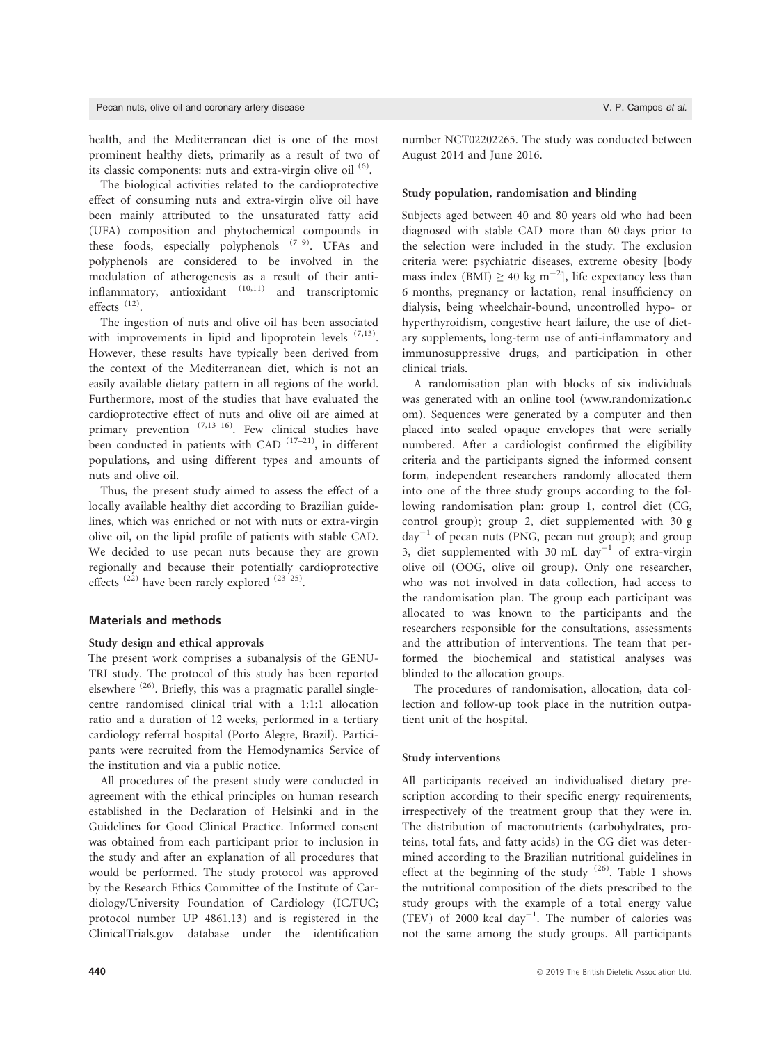health, and the Mediterranean diet is one of the most prominent healthy diets, primarily as a result of two of its classic components: nuts and extra-virgin olive oil  $(6)$ .

The biological activities related to the cardioprotective effect of consuming nuts and extra-virgin olive oil have been mainly attributed to the unsaturated fatty acid (UFA) composition and phytochemical compounds in these foods, especially polyphenols  $(7-9)$ . UFAs and polyphenols are considered to be involved in the modulation of atherogenesis as a result of their antiinflammatory, antioxidant (10,11) and transcriptomic effects (12).

The ingestion of nuts and olive oil has been associated with improvements in lipid and lipoprotein levels  $(7,13)$ . However, these results have typically been derived from the context of the Mediterranean diet, which is not an easily available dietary pattern in all regions of the world. Furthermore, most of the studies that have evaluated the cardioprotective effect of nuts and olive oil are aimed at primary prevention  $(7,13-16)$ . Few clinical studies have been conducted in patients with CAD  $(17-21)$ , in different populations, and using different types and amounts of nuts and olive oil.

Thus, the present study aimed to assess the effect of a locally available healthy diet according to Brazilian guidelines, which was enriched or not with nuts or extra-virgin olive oil, on the lipid profile of patients with stable CAD. We decided to use pecan nuts because they are grown regionally and because their potentially cardioprotective effects<sup> $(22)$ </sup> have been rarely explored  $(23-25)$ .

## Materials and methods

#### Study design and ethical approvals

The present work comprises a subanalysis of the GENU-TRI study. The protocol of this study has been reported elsewhere<sup>(26)</sup>. Briefly, this was a pragmatic parallel singlecentre randomised clinical trial with a 1:1:1 allocation ratio and a duration of 12 weeks, performed in a tertiary cardiology referral hospital (Porto Alegre, Brazil). Participants were recruited from the Hemodynamics Service of the institution and via a public notice.

All procedures of the present study were conducted in agreement with the ethical principles on human research established in the Declaration of Helsinki and in the Guidelines for Good Clinical Practice. Informed consent was obtained from each participant prior to inclusion in the study and after an explanation of all procedures that would be performed. The study protocol was approved by the Research Ethics Committee of the Institute of Cardiology/University Foundation of Cardiology (IC/FUC; protocol number UP 4861.13) and is registered in the ClinicalTrials.gov database under the identification

number NCT02202265. The study was conducted between August 2014 and June 2016.

#### Study population, randomisation and blinding

Subjects aged between 40 and 80 years old who had been diagnosed with stable CAD more than 60 days prior to the selection were included in the study. The exclusion criteria were: psychiatric diseases, extreme obesity [body mass index (BMI)  $\geq 40 \text{ kg m}^{-2}$ ], life expectancy less than 6 months, pregnancy or lactation, renal insufficiency on dialysis, being wheelchair-bound, uncontrolled hypo- or hyperthyroidism, congestive heart failure, the use of dietary supplements, long-term use of anti-inflammatory and immunosuppressive drugs, and participation in other clinical trials.

A randomisation plan with blocks of six individuals was generated with an online tool [\(www.randomization.c](http://www.randomization.com) [om](http://www.randomization.com)). Sequences were generated by a computer and then placed into sealed opaque envelopes that were serially numbered. After a cardiologist confirmed the eligibility criteria and the participants signed the informed consent form, independent researchers randomly allocated them into one of the three study groups according to the following randomisation plan: group 1, control diet (CG, control group); group 2, diet supplemented with 30 g  $day^{-1}$  of pecan nuts (PNG, pecan nut group); and group 3, diet supplemented with 30 mL day<sup>-1</sup> of extra-virgin olive oil (OOG, olive oil group). Only one researcher, who was not involved in data collection, had access to the randomisation plan. The group each participant was allocated to was known to the participants and the researchers responsible for the consultations, assessments and the attribution of interventions. The team that performed the biochemical and statistical analyses was blinded to the allocation groups.

The procedures of randomisation, allocation, data collection and follow-up took place in the nutrition outpatient unit of the hospital.

### Study interventions

All participants received an individualised dietary prescription according to their specific energy requirements, irrespectively of the treatment group that they were in. The distribution of macronutrients (carbohydrates, proteins, total fats, and fatty acids) in the CG diet was determined according to the Brazilian nutritional guidelines in effect at the beginning of the study  $(26)$ . Table 1 shows the nutritional composition of the diets prescribed to the study groups with the example of a total energy value (TEV) of 2000 kcal day<sup>-1</sup>. The number of calories was not the same among the study groups. All participants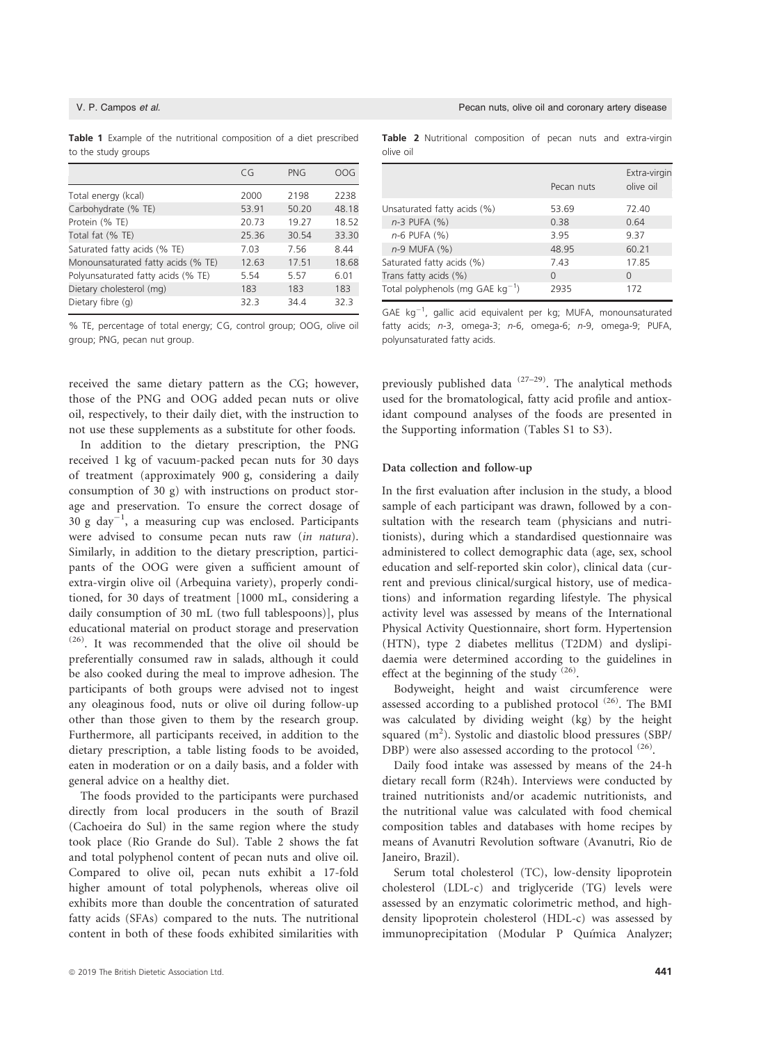|  |                     |  | <b>Table 1</b> Example of the nutritional composition of a diet prescribed |  |  |  |
|--|---------------------|--|----------------------------------------------------------------------------|--|--|--|
|  | to the study groups |  |                                                                            |  |  |  |

|                                    | CG    | <b>PNG</b> | OOG   |
|------------------------------------|-------|------------|-------|
| Total energy (kcal)                | 2000  | 2198       | 2238  |
| Carbohydrate (% TE)                | 53.91 | 50.20      | 48.18 |
| Protein (% TE)                     | 20.73 | 19.27      | 18.52 |
| Total fat (% TE)                   | 25.36 | 30.54      | 33.30 |
| Saturated fatty acids (% TE)       | 7.03  | 7.56       | 8.44  |
| Monounsaturated fatty acids (% TE) | 12.63 | 17.51      | 18.68 |
| Polyunsaturated fatty acids (% TE) | 5.54  | 5.57       | 6.01  |
| Dietary cholesterol (mg)           | 183   | 183        | 183   |
| Dietary fibre (q)                  | 32.3  | 34.4       | 32.3  |

% TE, percentage of total energy; CG, control group; OOG, olive oil group; PNG, pecan nut group.

received the same dietary pattern as the CG; however, those of the PNG and OOG added pecan nuts or olive oil, respectively, to their daily diet, with the instruction to not use these supplements as a substitute for other foods.

In addition to the dietary prescription, the PNG received 1 kg of vacuum-packed pecan nuts for 30 days of treatment (approximately 900 g, considering a daily consumption of 30 g) with instructions on product storage and preservation. To ensure the correct dosage of 30 g day $^{-1}$ , a measuring cup was enclosed. Participants were advised to consume pecan nuts raw (in natura). Similarly, in addition to the dietary prescription, participants of the OOG were given a sufficient amount of extra-virgin olive oil (Arbequina variety), properly conditioned, for 30 days of treatment [1000 mL, considering a daily consumption of 30 mL (two full tablespoons)], plus educational material on product storage and preservation (26). It was recommended that the olive oil should be preferentially consumed raw in salads, although it could be also cooked during the meal to improve adhesion. The participants of both groups were advised not to ingest any oleaginous food, nuts or olive oil during follow-up other than those given to them by the research group. Furthermore, all participants received, in addition to the dietary prescription, a table listing foods to be avoided, eaten in moderation or on a daily basis, and a folder with general advice on a healthy diet.

The foods provided to the participants were purchased directly from local producers in the south of Brazil (Cachoeira do Sul) in the same region where the study took place (Rio Grande do Sul). Table 2 shows the fat and total polyphenol content of pecan nuts and olive oil. Compared to olive oil, pecan nuts exhibit a 17-fold higher amount of total polyphenols, whereas olive oil exhibits more than double the concentration of saturated fatty acids (SFAs) compared to the nuts. The nutritional content in both of these foods exhibited similarities with Table 2 Nutritional composition of pecan nuts and extra-virgin olive oil

|                                       | Pecan nuts | Extra-virgin<br>olive oil |
|---------------------------------------|------------|---------------------------|
| Unsaturated fatty acids (%)           | 53.69      | 72.40                     |
| n-3 PUFA (%)                          | 0.38       | 0.64                      |
| $n-6$ PUFA $(%)$                      | 3.95       | 937                       |
| n-9 MUFA (%)                          | 48.95      | 60.21                     |
| Saturated fatty acids (%)             | 743        | 17.85                     |
| Trans fatty acids (%)                 | $\Omega$   | $\Omega$                  |
| Total polyphenols (mg GAE $kg^{-1}$ ) | 2935       | 172                       |

GAE  $kg^{-1}$ , gallic acid equivalent per kg; MUFA, monounsaturated fatty acids; n-3, omega-3; n-6, omega-6; n-9, omega-9; PUFA, polyunsaturated fatty acids.

previously published data  $(27-29)$ . The analytical methods used for the bromatological, fatty acid profile and antioxidant compound analyses of the foods are presented in the Supporting information (Tables S1 to S3).

#### Data collection and follow-up

In the first evaluation after inclusion in the study, a blood sample of each participant was drawn, followed by a consultation with the research team (physicians and nutritionists), during which a standardised questionnaire was administered to collect demographic data (age, sex, school education and self-reported skin color), clinical data (current and previous clinical/surgical history, use of medications) and information regarding lifestyle. The physical activity level was assessed by means of the International Physical Activity Questionnaire, short form. Hypertension (HTN), type 2 diabetes mellitus (T2DM) and dyslipidaemia were determined according to the guidelines in effect at the beginning of the study  $(26)$ .

Bodyweight, height and waist circumference were assessed according to a published protocol<sup>(26)</sup>. The BMI was calculated by dividing weight (kg) by the height squared (m<sup>2</sup>). Systolic and diastolic blood pressures (SBP/ DBP) were also assessed according to the protocol<sup>(26)</sup>.

Daily food intake was assessed by means of the 24-h dietary recall form (R24h). Interviews were conducted by trained nutritionists and/or academic nutritionists, and the nutritional value was calculated with food chemical composition tables and databases with home recipes by means of Avanutri Revolution software (Avanutri, Rio de Janeiro, Brazil).

Serum total cholesterol (TC), low-density lipoprotein cholesterol (LDL-c) and triglyceride (TG) levels were assessed by an enzymatic colorimetric method, and highdensity lipoprotein cholesterol (HDL-c) was assessed by immunoprecipitation (Modular P Química Analyzer;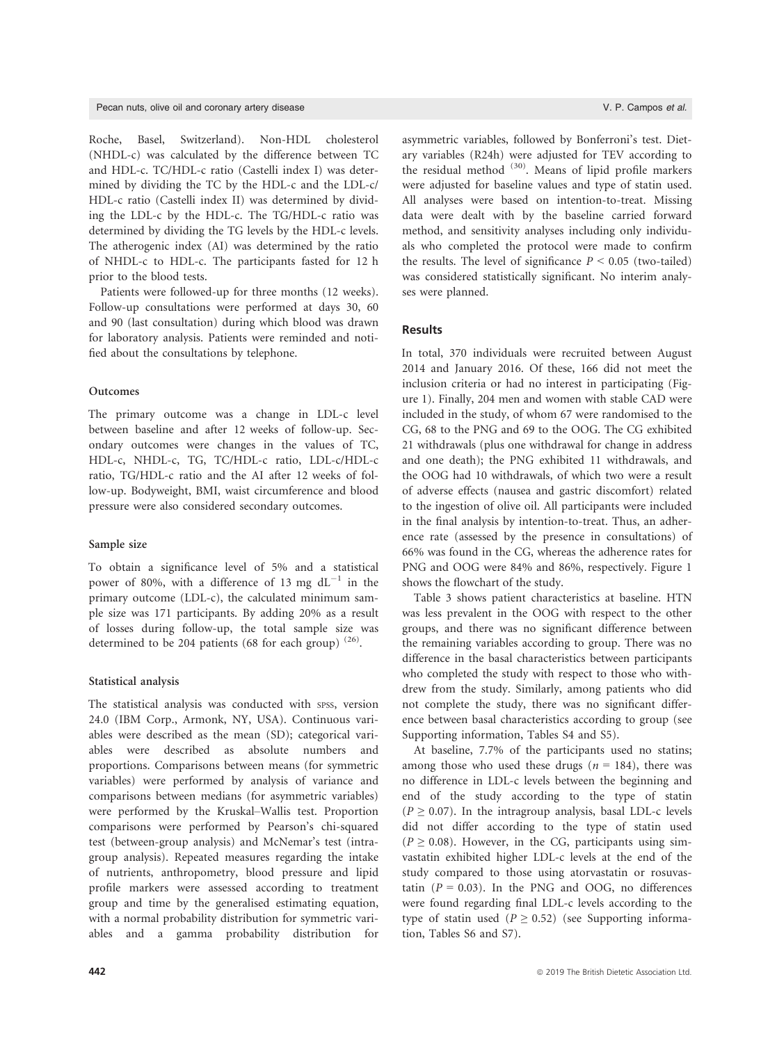Pecan nuts, olive oil and coronary artery disease V. P. Campos et al.

Roche, Basel, Switzerland). Non-HDL cholesterol (NHDL-c) was calculated by the difference between TC and HDL-c. TC/HDL-c ratio (Castelli index I) was determined by dividing the TC by the HDL-c and the LDL-c/ HDL-c ratio (Castelli index II) was determined by dividing the LDL-c by the HDL-c. The TG/HDL-c ratio was determined by dividing the TG levels by the HDL-c levels. The atherogenic index (AI) was determined by the ratio of NHDL-c to HDL-c. The participants fasted for 12 h prior to the blood tests.

Patients were followed-up for three months (12 weeks). Follow-up consultations were performed at days 30, 60 and 90 (last consultation) during which blood was drawn for laboratory analysis. Patients were reminded and notified about the consultations by telephone.

# Outcomes

The primary outcome was a change in LDL-c level between baseline and after 12 weeks of follow-up. Secondary outcomes were changes in the values of TC, HDL-c, NHDL-c, TG, TC/HDL-c ratio, LDL-c/HDL-c ratio, TG/HDL-c ratio and the AI after 12 weeks of follow-up. Bodyweight, BMI, waist circumference and blood pressure were also considered secondary outcomes.

# Sample size

To obtain a significance level of 5% and a statistical power of 80%, with a difference of 13 mg  $dL^{-1}$  in the primary outcome (LDL-c), the calculated minimum sample size was 171 participants. By adding 20% as a result of losses during follow-up, the total sample size was determined to be 204 patients (68 for each group)  $(26)$ .

# Statistical analysis

The statistical analysis was conducted with spss, version 24.0 (IBM Corp., Armonk, NY, USA). Continuous variables were described as the mean (SD); categorical variables were described as absolute numbers and proportions. Comparisons between means (for symmetric variables) were performed by analysis of variance and comparisons between medians (for asymmetric variables) were performed by the Kruskal–Wallis test. Proportion comparisons were performed by Pearson's chi-squared test (between-group analysis) and McNemar's test (intragroup analysis). Repeated measures regarding the intake of nutrients, anthropometry, blood pressure and lipid profile markers were assessed according to treatment group and time by the generalised estimating equation, with a normal probability distribution for symmetric variables and a gamma probability distribution for

asymmetric variables, followed by Bonferroni's test. Dietary variables (R24h) were adjusted for TEV according to the residual method  $(30)$ . Means of lipid profile markers were adjusted for baseline values and type of statin used. All analyses were based on intention-to-treat. Missing data were dealt with by the baseline carried forward method, and sensitivity analyses including only individuals who completed the protocol were made to confirm the results. The level of significance  $P \leq 0.05$  (two-tailed) was considered statistically significant. No interim analyses were planned.

# **Results**

In total, 370 individuals were recruited between August 2014 and January 2016. Of these, 166 did not meet the inclusion criteria or had no interest in participating (Figure 1). Finally, 204 men and women with stable CAD were included in the study, of whom 67 were randomised to the CG, 68 to the PNG and 69 to the OOG. The CG exhibited 21 withdrawals (plus one withdrawal for change in address and one death); the PNG exhibited 11 withdrawals, and the OOG had 10 withdrawals, of which two were a result of adverse effects (nausea and gastric discomfort) related to the ingestion of olive oil. All participants were included in the final analysis by intention-to-treat. Thus, an adherence rate (assessed by the presence in consultations) of 66% was found in the CG, whereas the adherence rates for PNG and OOG were 84% and 86%, respectively. Figure 1 shows the flowchart of the study.

Table 3 shows patient characteristics at baseline. HTN was less prevalent in the OOG with respect to the other groups, and there was no significant difference between the remaining variables according to group. There was no difference in the basal characteristics between participants who completed the study with respect to those who withdrew from the study. Similarly, among patients who did not complete the study, there was no significant difference between basal characteristics according to group (see Supporting information, Tables S4 and S5).

At baseline, 7.7% of the participants used no statins; among those who used these drugs ( $n = 184$ ), there was no difference in LDL-c levels between the beginning and end of the study according to the type of statin  $(P \ge 0.07)$ . In the intragroup analysis, basal LDL-c levels did not differ according to the type of statin used  $(P \ge 0.08)$ . However, in the CG, participants using simvastatin exhibited higher LDL-c levels at the end of the study compared to those using atorvastatin or rosuvastatin ( $P = 0.03$ ). In the PNG and OOG, no differences were found regarding final LDL-c levels according to the type of statin used ( $P \ge 0.52$ ) (see Supporting information, Tables S6 and S7).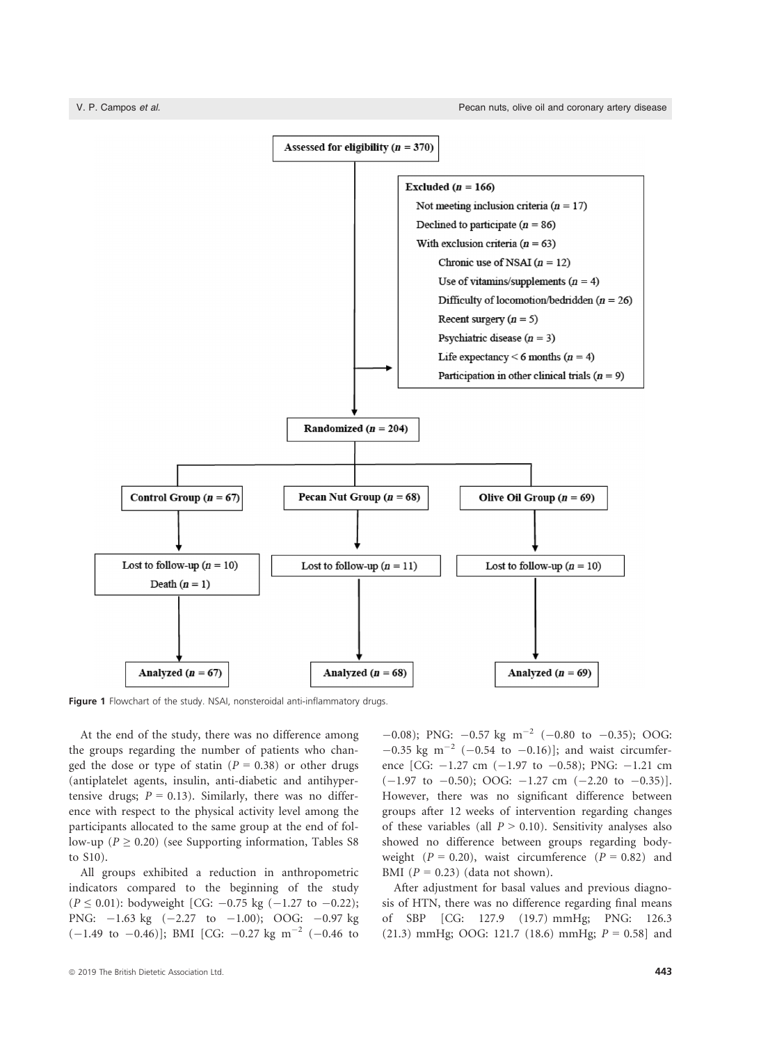

Figure 1 Flowchart of the study. NSAI, nonsteroidal anti-inflammatory drugs.

At the end of the study, there was no difference among the groups regarding the number of patients who changed the dose or type of statin ( $P = 0.38$ ) or other drugs (antiplatelet agents, insulin, anti-diabetic and antihypertensive drugs;  $P = 0.13$ ). Similarly, there was no difference with respect to the physical activity level among the participants allocated to the same group at the end of follow-up ( $P \ge 0.20$ ) (see Supporting information, Tables S8 to S10).

All groups exhibited a reduction in anthropometric indicators compared to the beginning of the study  $(P \le 0.01)$ : bodyweight [CG: -0.75 kg (-1.27 to -0.22); PNG:  $-1.63$  kg  $(-2.27$  to  $-1.00)$ ; OOG:  $-0.97$  kg  $(-1.49 \text{ to } -0.46)$ ]; BMI [CG:  $-0.27 \text{ kg m}^{-2}$  (-0.46 to

 $-0.08$ ); PNG:  $-0.57$  kg m<sup>-2</sup> (-0.80 to -0.35); OOG:  $-0.35$  kg m<sup>-2</sup> (-0.54 to -0.16)]; and waist circumference [CG:  $-1.27$  cm  $(-1.97$  to  $-0.58)$ ; PNG:  $-1.21$  cm  $(-1.97 \text{ to } -0.50)$ ; OOG:  $-1.27 \text{ cm } (-2.20 \text{ to } -0.35)$ ]. However, there was no significant difference between groups after 12 weeks of intervention regarding changes of these variables (all  $P > 0.10$ ). Sensitivity analyses also showed no difference between groups regarding bodyweight ( $P = 0.20$ ), waist circumference ( $P = 0.82$ ) and BMI ( $P = 0.23$ ) (data not shown).

After adjustment for basal values and previous diagnosis of HTN, there was no difference regarding final means of SBP [CG: 127.9 (19.7) mmHg; PNG: 126.3 (21.3) mmHg; OOG: 121.7 (18.6) mmHg;  $P = 0.58$ ] and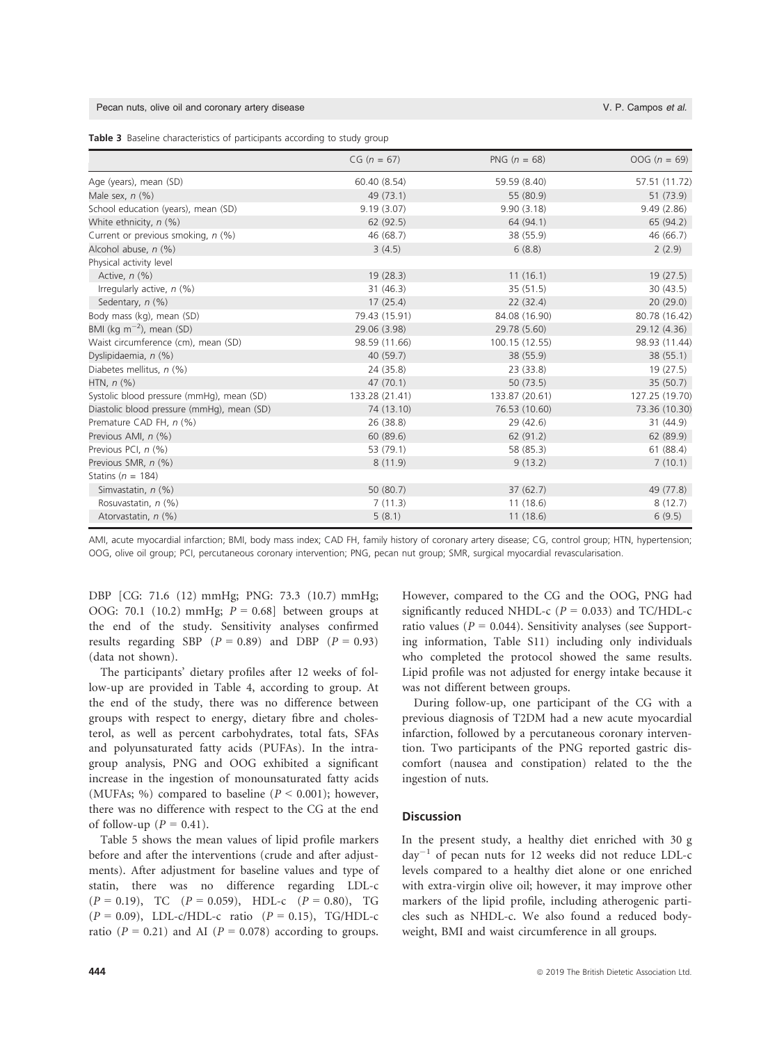#### Pecan nuts, olive oil and coronary artery disease V. P. Campos et al.

|  |  | Table 3 Baseline characteristics of participants according to study group |  |  |  |  |  |  |
|--|--|---------------------------------------------------------------------------|--|--|--|--|--|--|
|--|--|---------------------------------------------------------------------------|--|--|--|--|--|--|

|                                            | $CG (n = 67)$  | PNG $(n = 68)$ | $0OG (n = 69)$ |
|--------------------------------------------|----------------|----------------|----------------|
| Age (years), mean (SD)                     | 60.40 (8.54)   | 59.59 (8.40)   | 57.51 (11.72)  |
| Male sex, $n$ $(\%)$                       | 49 (73.1)      | 55 (80.9)      | 51 (73.9)      |
| School education (years), mean (SD)        | 9.19(3.07)     | 9.90(3.18)     | 9.49(2.86)     |
| White ethnicity, n (%)                     | 62(92.5)       | 64 (94.1)      | 65 (94.2)      |
| Current or previous smoking, n (%)         | 46 (68.7)      | 38 (55.9)      | 46 (66.7)      |
| Alcohol abuse, n (%)                       | 3(4.5)         | 6(8.8)         | 2(2.9)         |
| Physical activity level                    |                |                |                |
| Active, $n$ $(\%)$                         | 19(28.3)       | 11(16.1)       | 19(27.5)       |
| Irregularly active, $n$ (%)                | 31(46.3)       | 35 (51.5)      | 30(43.5)       |
| Sedentary, n (%)                           | 17(25.4)       | 22(32.4)       | 20(29.0)       |
| Body mass (kg), mean (SD)                  | 79.43 (15.91)  | 84.08 (16.90)  | 80.78 (16.42)  |
| BMI (kg $m^{-2}$ ), mean (SD)              | 29.06 (3.98)   | 29.78 (5.60)   | 29.12 (4.36)   |
| Waist circumference (cm), mean (SD)        | 98.59 (11.66)  | 100.15 (12.55) | 98.93 (11.44)  |
| Dyslipidaemia, n (%)                       | 40 (59.7)      | 38 (55.9)      | 38(55.1)       |
| Diabetes mellitus, $n$ (%)                 | 24 (35.8)      | 23 (33.8)      | 19(27.5)       |
| HTN, $n$ (%)                               | 47(70.1)       | 50(73.5)       | 35(50.7)       |
| Systolic blood pressure (mmHg), mean (SD)  | 133.28 (21.41) | 133.87 (20.61) | 127.25 (19.70) |
| Diastolic blood pressure (mmHg), mean (SD) | 74 (13.10)     | 76.53 (10.60)  | 73.36 (10.30)  |
| Premature CAD FH, n (%)                    | 26(38.8)       | 29(42.6)       | 31(44.9)       |
| Previous AMI, n (%)                        | 60 (89.6)      | 62 (91.2)      | 62 (89.9)      |
| Previous PCI, n (%)                        | 53 (79.1)      | 58 (85.3)      | 61(88.4)       |
| Previous SMR, n (%)                        | 8(11.9)        | 9(13.2)        | 7(10.1)        |
| Statins ( $n = 184$ )                      |                |                |                |
| Simvastatin, $n$ (%)                       | 50 (80.7)      | 37(62.7)       | 49 (77.8)      |
| Rosuvastatin, n (%)                        | 7(11.3)        | 11(18.6)       | 8(12.7)        |
| Atorvastatin, n (%)                        | 5(8.1)         | 11(18.6)       | 6(9.5)         |

AMI, acute myocardial infarction; BMI, body mass index; CAD FH, family history of coronary artery disease; CG, control group; HTN, hypertension; OOG, olive oil group; PCI, percutaneous coronary intervention; PNG, pecan nut group; SMR, surgical myocardial revascularisation.

DBP [CG: 71.6 (12) mmHg; PNG: 73.3 (10.7) mmHg; OOG: 70.1 (10.2) mmHg;  $P = 0.68$ ] between groups at the end of the study. Sensitivity analyses confirmed results regarding SBP ( $P = 0.89$ ) and DBP ( $P = 0.93$ ) (data not shown).

The participants' dietary profiles after 12 weeks of follow-up are provided in Table 4, according to group. At the end of the study, there was no difference between groups with respect to energy, dietary fibre and cholesterol, as well as percent carbohydrates, total fats, SFAs and polyunsaturated fatty acids (PUFAs). In the intragroup analysis, PNG and OOG exhibited a significant increase in the ingestion of monounsaturated fatty acids (MUFAs; %) compared to baseline ( $P < 0.001$ ); however, there was no difference with respect to the CG at the end of follow-up ( $P = 0.41$ ).

Table 5 shows the mean values of lipid profile markers before and after the interventions (crude and after adjustments). After adjustment for baseline values and type of statin, there was no difference regarding LDL-c  $(P = 0.19)$ , TC  $(P = 0.059)$ , HDL-c  $(P = 0.80)$ , TG  $(P = 0.09)$ , LDL-c/HDL-c ratio  $(P = 0.15)$ , TG/HDL-c ratio ( $P = 0.21$ ) and AI ( $P = 0.078$ ) according to groups.

However, compared to the CG and the OOG, PNG had significantly reduced NHDL-c ( $P = 0.033$ ) and TC/HDL-c ratio values ( $P = 0.044$ ). Sensitivity analyses (see Supporting information, Table S11) including only individuals who completed the protocol showed the same results. Lipid profile was not adjusted for energy intake because it was not different between groups.

During follow-up, one participant of the CG with a previous diagnosis of T2DM had a new acute myocardial infarction, followed by a percutaneous coronary intervention. Two participants of the PNG reported gastric discomfort (nausea and constipation) related to the the ingestion of nuts.

#### **Discussion**

In the present study, a healthy diet enriched with 30 g  $day^{-1}$  of pecan nuts for 12 weeks did not reduce LDL-c levels compared to a healthy diet alone or one enriched with extra-virgin olive oil; however, it may improve other markers of the lipid profile, including atherogenic particles such as NHDL-c. We also found a reduced bodyweight, BMI and waist circumference in all groups.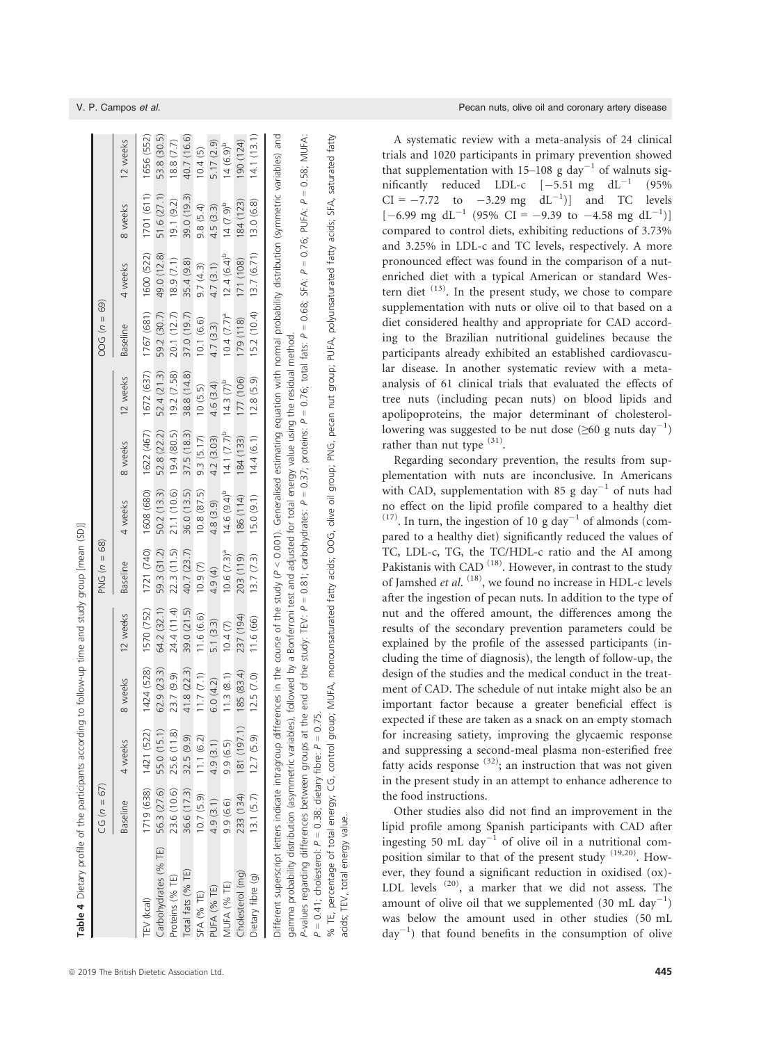|                                                                                                                                                                                                      | $CG (n = 67)$   |                           |            |             | PNG $(n = 68)$          |                  |                  |                       | $00G(n = 69)$           |                                       |              |                |
|------------------------------------------------------------------------------------------------------------------------------------------------------------------------------------------------------|-----------------|---------------------------|------------|-------------|-------------------------|------------------|------------------|-----------------------|-------------------------|---------------------------------------|--------------|----------------|
|                                                                                                                                                                                                      | <b>Baseline</b> | 4 weeks                   | weeks      | 12 weeks    | <b>Baseline</b>         | 4 weeks          | 8 weeks          | 12 weeks              | <b>Baseline</b>         | 4 weeks                               | 8 weeks      | 12 weeks       |
| <b>TEV</b> (kcal)                                                                                                                                                                                    |                 | 1719 (638) 1421 (522)     | 1424 (528) | 1570 (752)  | 1721 (740)              | 1608 (680)       |                  | 1622 (467) 1672 (637) | 1767 (681) 1600 (522)   |                                       | 1701 (611)   | 1656 (552)     |
| Carbohydrates (% TE) 56.3 (27.6) 55.0 (15.1)                                                                                                                                                         |                 |                           | 62.9(23.3) | 64.2(32.1)  | 59.3 (31.2)             | 50.2(13.3)       | 52.8 (22.2)      | 52.4 (21.3)           | 59.2 (30.7)             | 49.0 (12.8)                           | 51.6(27.1)   | 53.8 (30.5)    |
| Proteins (% TE)                                                                                                                                                                                      | 23.6 (10.6)     | 25.6 (11.8)               | 23.7 (9.9) | 24.4(11.4)  | 22.3(11.5)              | 21.1 (10.6)      | 19.4(80.5)       | 19.2(7.58)            | 20.1(12.7)              | 18.9(7.1)                             | 19.1(9.2)    | 18.8(7.7)      |
| Total fats (% TE)                                                                                                                                                                                    |                 | 36.6 (17.3) 32.5 (9.9)    | .8(22.3)   | 39.0 (21.5) | 40.7 (23.7)             | 36.0 (13.5)      | 37.5(18.3)       | 38.8 (14.8)           | 37.0(19.7)              | 35.4 (9.8)                            | 39.0 (19.3)  | 40.7 (16.6)    |
| <b>SFA (% TE)</b>                                                                                                                                                                                    | 10.7(5.9)       | 11.1(6.2)                 | 1.7(7.1)   | 11.6(6.6)   | 10.9(7)                 | 10.8(87.5)       | 9.3(5.17)        | 10(5.5)               | 10.1 (6.6)              | 9.7(4.3)                              | 9.8(5.4)     | 10.4(5)        |
| PUFA (% TE)                                                                                                                                                                                          | 4.9(3.1)        | 4.9(3.1)                  | (4.2)      | 5.1(3.3)    | 4.9 (4)                 | 4.8(3.9)         | 4.2(3.03)        | 4.6 (3.4)             | 4.7(3.3)                | 4.7(3.1)                              | 4.5(3.3)     | 5.17(2.9)      |
| MUFA (% TE)                                                                                                                                                                                          | 9.9 (6.6)       | 9.9(6.5)                  | 11.3(8.1)  | 10.4(7)     | 10.6 (7.3) <sup>a</sup> | $14.6 (9.4)^{b}$ | 14.1 $(7.7)^{b}$ | $14.3 (7)^{b}$        | 10.4 (7.7) <sup>a</sup> | $12.4(6.4)^{b}$                       | $14 (7.9)^b$ | $14 (6.9)^{b}$ |
| Cholesterol (mg)                                                                                                                                                                                     | 233 (134)       | 181 (197.1)               | 185(83.4)  | 237 (194)   | 203 (119)               | 186 (114)        | 184 (133)        | 177 (106)             | 179 (118)               | 171 (108)                             | 184 (123)    | (124)          |
| Dietary fibre (g)                                                                                                                                                                                    |                 | $13.1 (5.7)$ $12.7 (5.9)$ | 12.5(7.0)  | 11.6(66)    | 13.7(7.3)               | 15.0(9.1)        | 14.4(6.1)        | 12.8(5.9)             |                         | $15.2(10.4)$ $13.7(6.71)$ $13.0(6.8)$ |              | 14.1(13.1)     |
| Different superscript letters indicate intragroup differences in the course of the study (P < 0.001). Generalised estimating equation with normal probability distribution (symmetric variables) and |                 |                           |            |             |                         |                  |                  |                       |                         |                                       |              |                |

P-values regarding differences between groups at the end of the study. TEV:  $P = 0.81$ ; carbohydrates:  $P = 0.37$ ; proteins:  $P = 0.76$ ; total fats:  $P = 0.68$ ; SFA:  $P = 0.76$ ; PUFA:  $P = 0.76$ ; PUFA:  $P = 0.76$ ; PUFA:  $P = 0.76$ P-values regarding differences between groups at the end of the study: TEV: P = 0.81; carbohydrates: P = 0.76; total fats: P = 0.68; SFA: P = 0.76; PUFA: P = 0.58; MUFA: amma probability distribution (asymmetric variables), followed by a Bonferroni test and adjusted for total energy value using the residual method. gamma probability distribution (asymmetric variables), followed by a Bonferroni test and adjusted for total energy value using the residual method.  $P = 0.41$ ; cholesterol:  $P = 0.38$ ; dietary fibre:  $P = 0.75$ .  $P = 0.41$ ; cholesterol:  $P = 0.38$ ; dietary fibre:  $P = 0.75$ .

% TE, percentage of total energy; CG, control group; MUFA, monounsaturated fatty acids; OOG, olive oil group; PNG, pecan nut group; PUFA, polyunsaturated fatty acids; SFA, saturated fatty % TE, percentage of total energy; CG, control group; MUFA, monounsaturated fatty acids; OOG, olive oil group; PNG, pecan nut group; PUFA, polyunsaturated fatty acids; SFA, saturated fatty acids; TEV, total energy value. acids; TEV, total energy value.

V. P. Campos et al. Pecan nuts, olive oil and coronary artery disease

A systematic review with a meta-analysis of 24 clinical trials and 1020 participants in primary prevention showed that supplementation with 15–108 g day<sup>-1</sup> of walnuts significantly reduced LDL-c  $[-5.51 \text{ mg } \text{dL}^{-1} (95\%$  $CI = -7.72$  to  $-3.29$  mg  $dL^{-1}$ ) and TC levels  $[-6.99 \text{ mg d}L^{-1} (95\% \text{ CI} = -9.39 \text{ to } -4.58 \text{ mg d}L^{-1})]$ compared to control diets, exhibiting reductions of 3.73% and 3.25% in LDL-c and TC levels, respectively. A more pronounced effect was found in the comparison of a nutenriched diet with a typical American or standard Western diet  $(13)$ . In the present study, we chose to compare supplementation with nuts or olive oil to that based on a diet considered healthy and appropriate for CAD according to the Brazilian nutritional guidelines because the participants already exhibited an established cardiovascular disease. In another systematic review with a metaanalysis of 61 clinical trials that evaluated the effects of tree nuts (including pecan nuts) on blood lipids and apolipoproteins, the major determinant of cholesterollowering was suggested to be nut dose ( $\geq 60$  g nuts day<sup>-1</sup>) rather than nut type  $(31)$ .

Regarding secondary prevention, the results from supplementation with nuts are inconclusive. In Americans with CAD, supplementation with 85 g day<sup>-1</sup> of nuts had no effect on the lipid profile compared to a healthy diet <sup>(17)</sup>. In turn, the ingestion of 10 g day<sup>-1</sup> of almonds (compared to a healthy diet) significantly reduced the values of TC, LDL-c, TG, the TC/HDL-c ratio and the AI among Pakistanis with CAD<sup>(18)</sup>. However, in contrast to the study of Jamshed et al. <sup>(18)</sup>, we found no increase in HDL-c levels after the ingestion of pecan nuts. In addition to the type of nut and the offered amount, the differences among the results of the secondary prevention parameters could be explained by the profile of the assessed participants (including the time of diagnosis), the length of follow-up, the design of the studies and the medical conduct in the treatment of CAD. The schedule of nut intake might also be an important factor because a greater beneficial effect is expected if these are taken as a snack on an empty stomach for increasing satiety, improving the glycaemic response and suppressing a second-meal plasma non-esterified free fatty acids response  $(32)$ ; an instruction that was not given in the present study in an attempt to enhance adherence to the food instructions.

Other studies also did not find an improvement in the lipid profile among Spanish participants with CAD after ingesting 50 mL day<sup>-1</sup> of olive oil in a nutritional composition similar to that of the present study (19,20). However, they found a significant reduction in oxidised (ox)- LDL levels  $(20)$ , a marker that we did not assess. The amount of olive oil that we supplemented (30 mL day<sup>-1</sup>) was below the amount used in other studies (50 mL  $day^{-1}$ ) that found benefits in the consumption of olive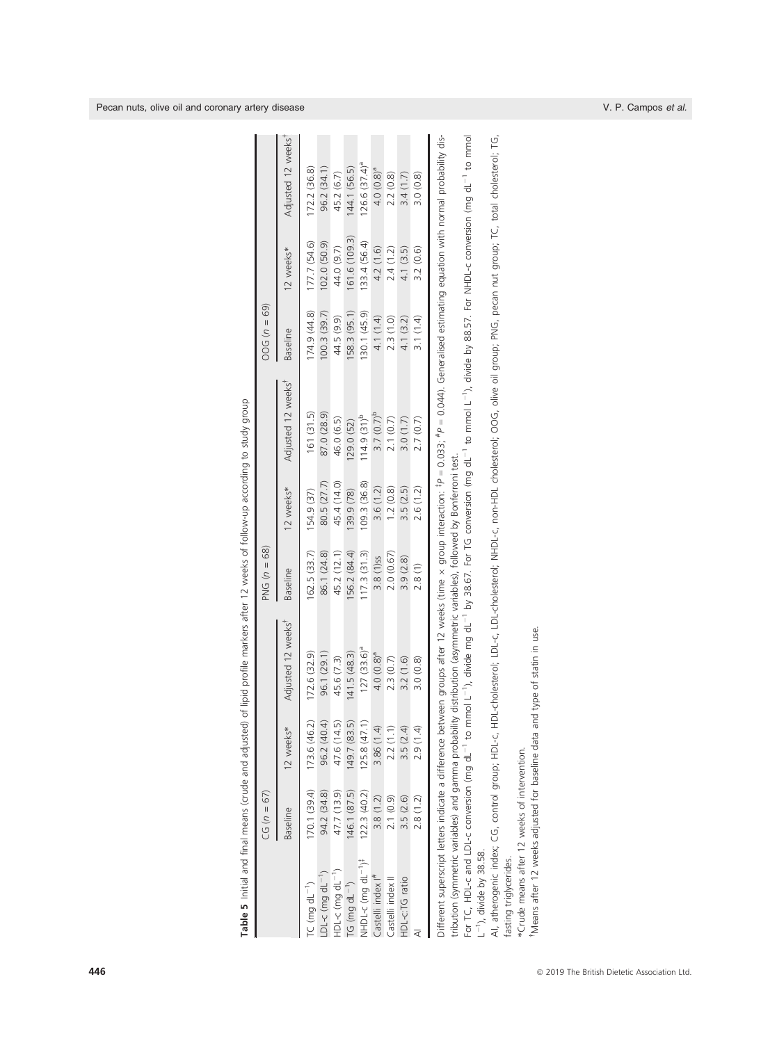|                                            | $CG (n = 67)$   |              |                                                                                                                                                                                                                                                                                                                             | PNG $(n = 68)$  |             |                                | $00G(n = 69)$   |               |                                |
|--------------------------------------------|-----------------|--------------|-----------------------------------------------------------------------------------------------------------------------------------------------------------------------------------------------------------------------------------------------------------------------------------------------------------------------------|-----------------|-------------|--------------------------------|-----------------|---------------|--------------------------------|
|                                            | <b>Baseline</b> | 12 weeks*    | Adjusted 12 weeks"                                                                                                                                                                                                                                                                                                          | <b>Baseline</b> | 12 weeks*   | Adjusted 12 weeks <sup>*</sup> | <b>Baseline</b> | 12 weeks*     | Adjusted 12 weeks <sup>*</sup> |
| $TC$ (mg $dL^{-1}$ )                       | 170.1(39.4)     | 173.6 (46.2) | 172.6(32.9)                                                                                                                                                                                                                                                                                                                 | 62.5(33.7)      | 154.9 (37)  | 161(31.5)                      | 174.9 (44.8)    | 177.7 (54.6)  | 72.2 (36.8)                    |
| $DL-c$ (mg $dL^{-1}$ )                     | 94.2 (34.8)     | 96.2 (40.4)  | 96.1 (29.1)                                                                                                                                                                                                                                                                                                                 | 86.1 (24.8)     | 80.5 (27.7) | 87.0 (28.9)                    | 100.3(39.7)     | 102.0(50.9)   | 96.2 (34.1)                    |
| HDL-c (mg $dL^{-1}$ )                      | 47.7 (13.9)     | 47.6 (14.5)  | 45.6 (7.3)                                                                                                                                                                                                                                                                                                                  | 45.2 (12.1)     | 45.4 (14.0) | 46.0 (6.5)                     | 44.5 (9.9)      | 44.0 (9.7)    | 45.2 (6.7)                     |
| $TG$ (mg $dL^{-1}$ )                       | 46.1 (87.5)     | 149.7(83.5)  | 141.5(48.3)                                                                                                                                                                                                                                                                                                                 | 56.2 (84.4)     | 39.9 (78)   | 29.0 (52)                      | 158.3(95.1)     | 161.6 (109.3) | (44.1 (56.5)                   |
| yHDL-c (mg dL <sup>-1</sup> ) <sup>*</sup> | 122.3(40.2)     | 125.8(47.1)  | $127(33.6)$ <sup>a</sup>                                                                                                                                                                                                                                                                                                    | 117.3(31.3)     | 109.3(36.8) | $114.9(31)^{p}$                | 130.1 (45.9)    | 133.4 (56.4)  | $126.6 (37.4)$ <sup>a</sup>    |
| astelli index  #                           | 3.8(1.2)        | 3.86 (1.4)   | $4.0(0.8)^a$                                                                                                                                                                                                                                                                                                                | 3.8 (1) ss      | 3.6(1.2)    | $3.7(0.7)^{b}$                 | 4.1 (1.4)       | 4.2(1.6)      | 4.0 (0.8) <sup>a</sup>         |
| Castelli index II                          | 2.1(0.9)        | 2.2(1.1)     | 2.3(0.7)                                                                                                                                                                                                                                                                                                                    | 2.0(0.67)       | 1.2(0.8)    | 2.1(0.7)                       | 2.3(1.0)        | 2.4(1.2)      | 2.2(0.8)                       |
| HDL-c:TG ratio                             | 3.5(2.6)        | 3.5(2.4)     | 3.2(1.6)                                                                                                                                                                                                                                                                                                                    | 3.9(2.8)        | 3.5(2.5)    | 3.0(1.7)                       | 4.1(3.2)        | 4.1(3.5)      | 3.4(1.7)                       |
|                                            | 2.8(1.2)        | 2.9 (1.4)    | 3.0(0.8)                                                                                                                                                                                                                                                                                                                    | 2.8(1)          | 2.6(1.2)    | 2.7(0.7)                       | 3.1(1.4)        | 3.2(0.6)      | 3.0(0.8)                       |
|                                            |                 |              | ifferent superscript letters indicate a difference between groups after 12 weeks (time x group interaction: FP = 0.033; "P = 0.044). Generalised estimating equation with normal probability dis-<br>tribution (symmetric variables) and gamma probability distribution (asymmetric variables), followed by Bonferroni test |                 |             |                                |                 |               |                                |
|                                            |                 |              |                                                                                                                                                                                                                                                                                                                             |                 |             |                                |                 |               |                                |

Table 5 Initial and final means (crude and adjusted) of lipid profile markers after 12 weeks of follow-up according to study group Table 5 Initial and final means (crude and adjusted) of lipid profile markers after 12 weeks of follow-up according to study group For TC, HDL-c and LDL-c conversion (mg dL<sup>-1</sup> to mmol L<sup>-1</sup>), divide mg dL<sup>-1</sup> by 38.67. For TG conversion (mg dL<sup>-1</sup> to mmol L<sup>-1</sup>), divide by 88.57. For NHDL-c conversion (mg dL<sup>-1</sup> to mmol For TC, HDL-c and LDL-c conversion (mg dL<sup>-1</sup> to mmol L<sup>-1</sup>), divide mg dL<sup>-1</sup> by 38.67. For TG conversion (mg dL<sup>-1</sup> to mmol L<sup>-1</sup>), divide by 88.57. For NHDL-c conversion (mg dL<sup>-1</sup> to mmol  $L^{-1}$ ), divide by 38.58.  $L^{-1}$ ), divide by 38.58.

AI, atherogenic index; CG, control group; HDL-ch HDL-cholesterol; LDL-c, LDL-cholesterol; NHDL-c, non-HDL cholesterol; OOG, olive oil group; PNG, pecan nut group; TC, total cholesterol; TG, AI, atherogenic index; CG, control group; HDL-c, HDL-cholesterol; LDL-c, LDL-cholesterol; NHDL-c, non-HDL cholesterol; OOG, olive oil group; PNG, pecan nut group; TC, total cholesterol; TG, fasting triglycerides. fasting triglycerides.

\*Crude means after 12 weeks of intervention. \*Crude means after 12 weeks of intervention.

Means after 12 weeks adjusted for baseline data and type of statin in use. †Means after 12 weeks adjusted for baseline data and type of statin in use.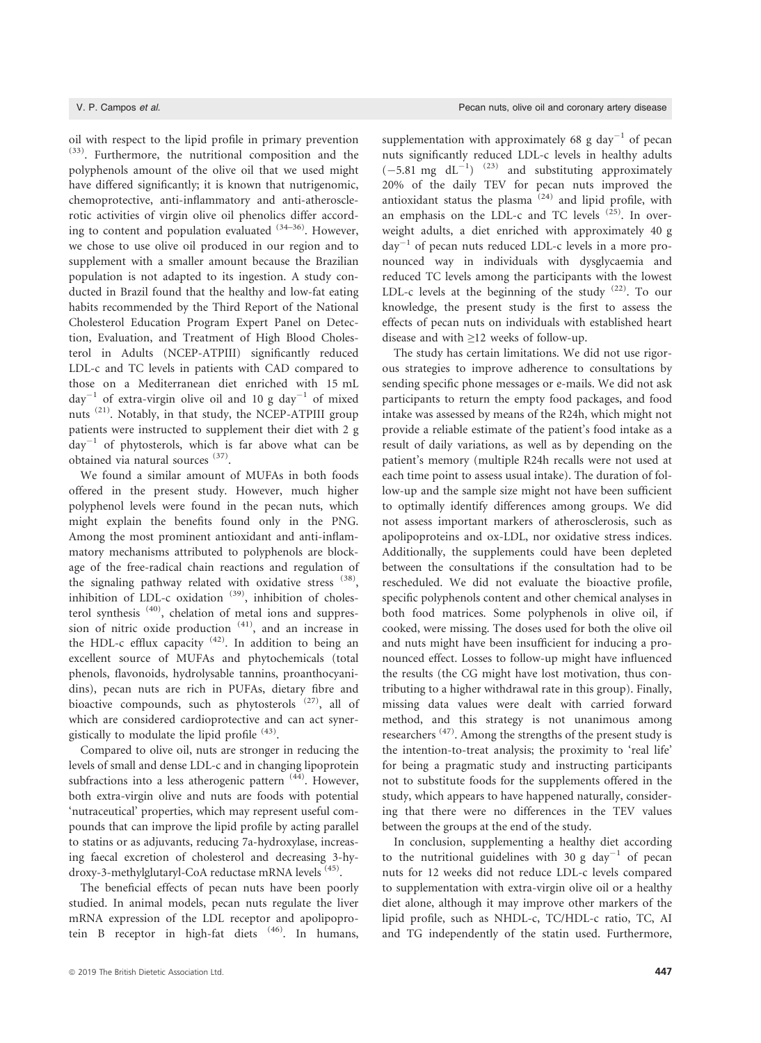oil with respect to the lipid profile in primary prevention (33). Furthermore, the nutritional composition and the polyphenols amount of the olive oil that we used might have differed significantly; it is known that nutrigenomic, chemoprotective, anti-inflammatory and anti-atherosclerotic activities of virgin olive oil phenolics differ according to content and population evaluated  $(34-36)$ . However, we chose to use olive oil produced in our region and to supplement with a smaller amount because the Brazilian population is not adapted to its ingestion. A study conducted in Brazil found that the healthy and low-fat eating habits recommended by the Third Report of the National Cholesterol Education Program Expert Panel on Detection, Evaluation, and Treatment of High Blood Cholesterol in Adults (NCEP-ATPIII) significantly reduced LDL-c and TC levels in patients with CAD compared to those on a Mediterranean diet enriched with 15 mL  $day^{-1}$  of extra-virgin olive oil and 10 g day<sup>-1</sup> of mixed nuts (21). Notably, in that study, the NCEP-ATPIII group patients were instructed to supplement their diet with 2 g  $day^{-1}$  of phytosterols, which is far above what can be obtained via natural sources (37).

We found a similar amount of MUFAs in both foods offered in the present study. However, much higher polyphenol levels were found in the pecan nuts, which might explain the benefits found only in the PNG. Among the most prominent antioxidant and anti-inflammatory mechanisms attributed to polyphenols are blockage of the free-radical chain reactions and regulation of the signaling pathway related with oxidative stress (38), inhibition of LDL-c oxidation  $(39)$ , inhibition of cholesterol synthesis (40), chelation of metal ions and suppression of nitric oxide production  $(41)$ , and an increase in the HDL-c efflux capacity  $(42)$ . In addition to being an excellent source of MUFAs and phytochemicals (total phenols, flavonoids, hydrolysable tannins, proanthocyanidins), pecan nuts are rich in PUFAs, dietary fibre and bioactive compounds, such as phytosterols <sup>(27)</sup>, all of which are considered cardioprotective and can act synergistically to modulate the lipid profile (43).

Compared to olive oil, nuts are stronger in reducing the levels of small and dense LDL-c and in changing lipoprotein subfractions into a less atherogenic pattern <sup>(44)</sup>. However, both extra-virgin olive and nuts are foods with potential 'nutraceutical' properties, which may represent useful compounds that can improve the lipid profile by acting parallel to statins or as adjuvants, reducing 7a-hydroxylase, increasing faecal excretion of cholesterol and decreasing 3-hydroxy-3-methylglutaryl-CoA reductase mRNA levels <sup>(45)</sup>.

The beneficial effects of pecan nuts have been poorly studied. In animal models, pecan nuts regulate the liver mRNA expression of the LDL receptor and apolipoprotein B receptor in high-fat diets (46). In humans,

supplementation with approximately 68 g day<sup>-1</sup> of pecan nuts significantly reduced LDL-c levels in healthy adults  $(-5.81 \text{ mg } \text{dL}^{-1})$  <sup>(23)</sup> and substituting approximately 20% of the daily TEV for pecan nuts improved the antioxidant status the plasma  $(24)$  and lipid profile, with an emphasis on the LDL-c and TC levels  $(25)$ . In overweight adults, a diet enriched with approximately 40 g  $day^{-1}$  of pecan nuts reduced LDL-c levels in a more pronounced way in individuals with dysglycaemia and reduced TC levels among the participants with the lowest LDL-c levels at the beginning of the study  $(22)$ . To our knowledge, the present study is the first to assess the effects of pecan nuts on individuals with established heart disease and with ≥12 weeks of follow-up.

The study has certain limitations. We did not use rigorous strategies to improve adherence to consultations by sending specific phone messages or e-mails. We did not ask participants to return the empty food packages, and food intake was assessed by means of the R24h, which might not provide a reliable estimate of the patient's food intake as a result of daily variations, as well as by depending on the patient's memory (multiple R24h recalls were not used at each time point to assess usual intake). The duration of follow-up and the sample size might not have been sufficient to optimally identify differences among groups. We did not assess important markers of atherosclerosis, such as apolipoproteins and ox-LDL, nor oxidative stress indices. Additionally, the supplements could have been depleted between the consultations if the consultation had to be rescheduled. We did not evaluate the bioactive profile, specific polyphenols content and other chemical analyses in both food matrices. Some polyphenols in olive oil, if cooked, were missing. The doses used for both the olive oil and nuts might have been insufficient for inducing a pronounced effect. Losses to follow-up might have influenced the results (the CG might have lost motivation, thus contributing to a higher withdrawal rate in this group). Finally, missing data values were dealt with carried forward method, and this strategy is not unanimous among researchers<sup>(47)</sup>. Among the strengths of the present study is the intention-to-treat analysis; the proximity to 'real life' for being a pragmatic study and instructing participants not to substitute foods for the supplements offered in the study, which appears to have happened naturally, considering that there were no differences in the TEV values between the groups at the end of the study.

In conclusion, supplementing a healthy diet according to the nutritional guidelines with 30 g day<sup>-1</sup> of pecan nuts for 12 weeks did not reduce LDL-c levels compared to supplementation with extra-virgin olive oil or a healthy diet alone, although it may improve other markers of the lipid profile, such as NHDL-c, TC/HDL-c ratio, TC, AI and TG independently of the statin used. Furthermore,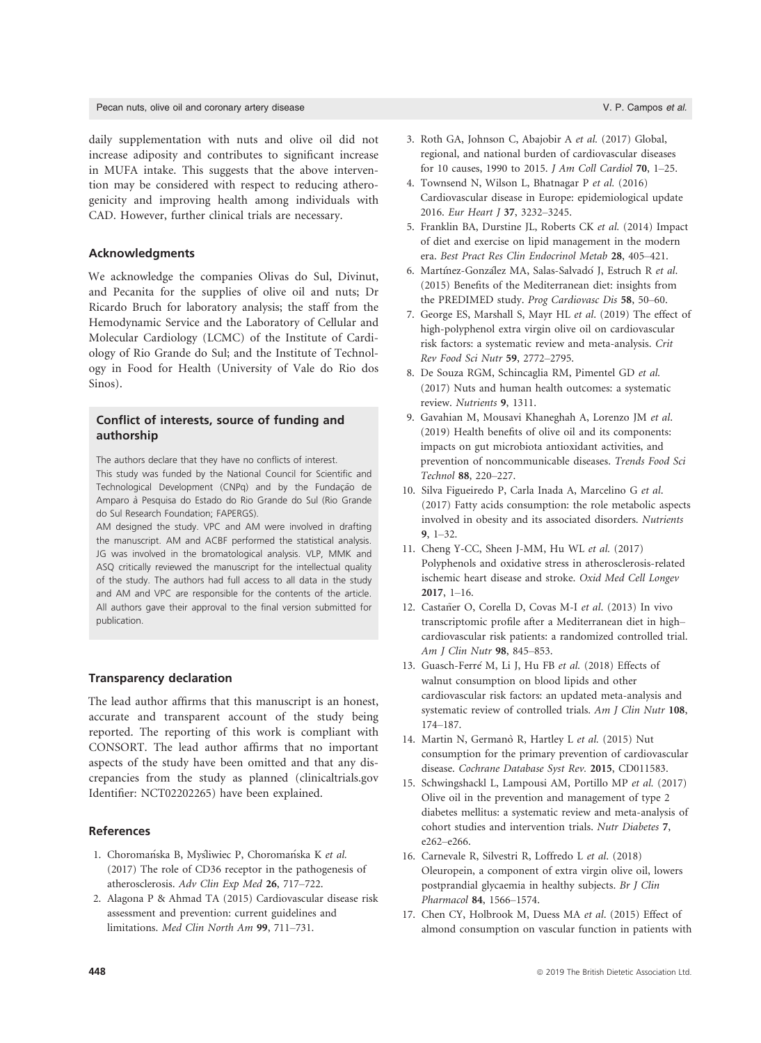daily supplementation with nuts and olive oil did not increase adiposity and contributes to significant increase in MUFA intake. This suggests that the above intervention may be considered with respect to reducing atherogenicity and improving health among individuals with CAD. However, further clinical trials are necessary.

# Acknowledgments

We acknowledge the companies Olivas do Sul, Divinut, and Pecanita for the supplies of olive oil and nuts; Dr Ricardo Bruch for laboratory analysis; the staff from the Hemodynamic Service and the Laboratory of Cellular and Molecular Cardiology (LCMC) of the Institute of Cardiology of Rio Grande do Sul; and the Institute of Technology in Food for Health (University of Vale do Rio dos Sinos).

# Conflict of interests, source of funding and authorship

The authors declare that they have no conflicts of interest.

This study was funded by the National Council for Scientific and Technological Development (CNPq) and by the Fundação de Amparo à Pesquisa do Estado do Rio Grande do Sul (Rio Grande do Sul Research Foundation; FAPERGS).

AM designed the study. VPC and AM were involved in drafting the manuscript. AM and ACBF performed the statistical analysis. JG was involved in the bromatological analysis. VLP, MMK and ASQ critically reviewed the manuscript for the intellectual quality of the study. The authors had full access to all data in the study and AM and VPC are responsible for the contents of the article. All authors gave their approval to the final version submitted for publication.

### Transparency declaration

The lead author affirms that this manuscript is an honest, accurate and transparent account of the study being reported. The reporting of this work is compliant with CONSORT. The lead author affirms that no important aspects of the study have been omitted and that any discrepancies from the study as planned (clinicaltrials.gov Identifier: NCT02202265) have been explained.

# References

- 1. Choromańska B, Myśliwiec P, Choromańska K et al. (2017) The role of CD36 receptor in the pathogenesis of atherosclerosis. Adv Clin Exp Med 26, 717–722.
- 2. Alagona P & Ahmad TA (2015) Cardiovascular disease risk assessment and prevention: current guidelines and limitations. Med Clin North Am 99, 711–731.
- 3. Roth GA, Johnson C, Abajobir A et al. (2017) Global, regional, and national burden of cardiovascular diseases for 10 causes, 1990 to 2015. J Am Coll Cardiol 70, 1–25.
- 4. Townsend N, Wilson L, Bhatnagar P et al. (2016) Cardiovascular disease in Europe: epidemiological update 2016. Eur Heart J 37, 3232–3245.
- 5. Franklin BA, Durstine JL, Roberts CK et al. (2014) Impact of diet and exercise on lipid management in the modern era. Best Pract Res Clin Endocrinol Metab 28, 405–421.
- 6. Martínez-González MA, Salas-Salvadó J, Estruch R et al. (2015) Benefits of the Mediterranean diet: insights from the PREDIMED study. Prog Cardiovasc Dis 58, 50–60.
- 7. George ES, Marshall S, Mayr HL et al. (2019) The effect of high-polyphenol extra virgin olive oil on cardiovascular risk factors: a systematic review and meta-analysis. Crit Rev Food Sci Nutr 59, 2772–2795.
- 8. De Souza RGM, Schincaglia RM, Pimentel GD et al. (2017) Nuts and human health outcomes: a systematic review. Nutrients 9, 1311.
- 9. Gavahian M, Mousavi Khaneghah A, Lorenzo JM et al. (2019) Health benefits of olive oil and its components: impacts on gut microbiota antioxidant activities, and prevention of noncommunicable diseases. Trends Food Sci Technol 88, 220–227.
- 10. Silva Figueiredo P, Carla Inada A, Marcelino G et al. (2017) Fatty acids consumption: the role metabolic aspects involved in obesity and its associated disorders. Nutrients 9, 1–32.
- 11. Cheng Y-CC, Sheen J-MM, Hu WL et al. (2017) Polyphenols and oxidative stress in atherosclerosis-related ischemic heart disease and stroke. Oxid Med Cell Longev 2017, 1–16.
- 12. Castañer O, Corella D, Covas M-I et al. (2013) In vivo transcriptomic profile after a Mediterranean diet in high– cardiovascular risk patients: a randomized controlled trial. Am J Clin Nutr 98, 845–853.
- 13. Guasch-Ferré M, Li J, Hu FB et al. (2018) Effects of walnut consumption on blood lipids and other cardiovascular risk factors: an updated meta-analysis and systematic review of controlled trials. Am I Clin Nutr 108, 174–187.
- 14. Martin N, Germanò R, Hartley L et al. (2015) Nut consumption for the primary prevention of cardiovascular disease. Cochrane Database Syst Rev. 2015, CD011583.
- 15. Schwingshackl L, Lampousi AM, Portillo MP et al. (2017) Olive oil in the prevention and management of type 2 diabetes mellitus: a systematic review and meta-analysis of cohort studies and intervention trials. Nutr Diabetes 7, e262–e266.
- 16. Carnevale R, Silvestri R, Loffredo L et al. (2018) Oleuropein, a component of extra virgin olive oil, lowers postprandial glycaemia in healthy subjects. Br J Clin Pharmacol 84, 1566–1574.
- 17. Chen CY, Holbrook M, Duess MA et al. (2015) Effect of almond consumption on vascular function in patients with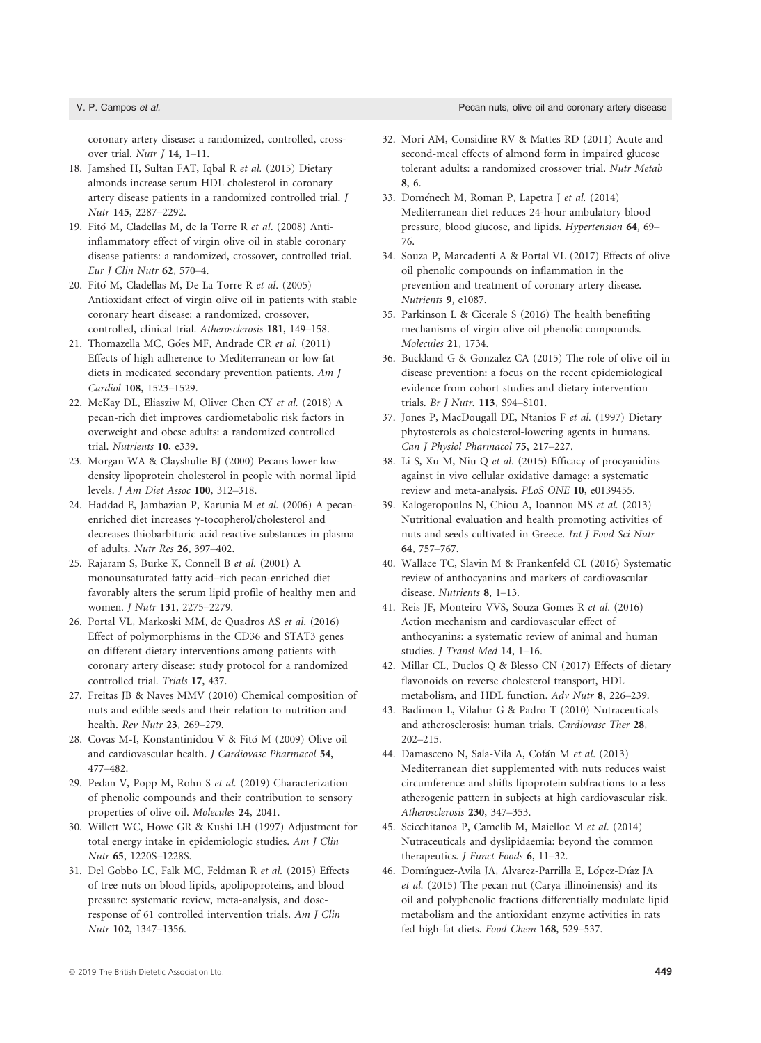coronary artery disease: a randomized, controlled, crossover trial. Nutr J 14, 1–11.

- 18. Jamshed H, Sultan FAT, Iqbal R et al. (2015) Dietary almonds increase serum HDL cholesterol in coronary artery disease patients in a randomized controlled trial. J Nutr 145, 2287–2292.
- 19. Fitó M, Cladellas M, de la Torre R et al. (2008) Antiinflammatory effect of virgin olive oil in stable coronary disease patients: a randomized, crossover, controlled trial. Eur J Clin Nutr 62, 570–4.
- 20. Fitó M, Cladellas M, De La Torre R *et al*. (2005) Antioxidant effect of virgin olive oil in patients with stable coronary heart disease: a randomized, crossover, controlled, clinical trial. Atherosclerosis 181, 149–158.
- 21. Thomazella MC, Góes MF, Andrade CR et al. (2011) Effects of high adherence to Mediterranean or low-fat diets in medicated secondary prevention patients. Am J Cardiol 108, 1523–1529.
- 22. McKay DL, Eliasziw M, Oliver Chen CY et al. (2018) A pecan-rich diet improves cardiometabolic risk factors in overweight and obese adults: a randomized controlled trial. Nutrients 10, e339.
- 23. Morgan WA & Clayshulte BJ (2000) Pecans lower lowdensity lipoprotein cholesterol in people with normal lipid levels. J Am Diet Assoc 100, 312–318.
- 24. Haddad E, Jambazian P, Karunia M et al. (2006) A pecanenriched diet increases  $\gamma$ -tocopherol/cholesterol and decreases thiobarbituric acid reactive substances in plasma of adults. Nutr Res 26, 397–402.
- 25. Rajaram S, Burke K, Connell B et al. (2001) A monounsaturated fatty acid–rich pecan-enriched diet favorably alters the serum lipid profile of healthy men and women. J Nutr 131, 2275–2279.
- 26. Portal VL, Markoski MM, de Quadros AS et al. (2016) Effect of polymorphisms in the CD36 and STAT3 genes on different dietary interventions among patients with coronary artery disease: study protocol for a randomized controlled trial. Trials 17, 437.
- 27. Freitas JB & Naves MMV (2010) Chemical composition of nuts and edible seeds and their relation to nutrition and health. Rev Nutr 23, 269–279.
- 28. Covas M-I, Konstantinidou V & Fito M (2009) Olive oil and cardiovascular health. J Cardiovasc Pharmacol 54, 477–482.
- 29. Pedan V, Popp M, Rohn S et al. (2019) Characterization of phenolic compounds and their contribution to sensory properties of olive oil. Molecules 24, 2041.
- 30. Willett WC, Howe GR & Kushi LH (1997) Adjustment for total energy intake in epidemiologic studies. Am J Clin Nutr 65, 1220S–1228S.
- 31. Del Gobbo LC, Falk MC, Feldman R et al. (2015) Effects of tree nuts on blood lipids, apolipoproteins, and blood pressure: systematic review, meta-analysis, and doseresponse of 61 controlled intervention trials. Am J Clin Nutr 102, 1347–1356.
- 32. Mori AM, Considine RV & Mattes RD (2011) Acute and second-meal effects of almond form in impaired glucose tolerant adults: a randomized crossover trial. Nutr Metab 8, 6.
- 33. Doménech M, Roman P, Lapetra J et al. (2014) Mediterranean diet reduces 24-hour ambulatory blood pressure, blood glucose, and lipids. Hypertension 64, 69– 76.
- 34. Souza P, Marcadenti A & Portal VL (2017) Effects of olive oil phenolic compounds on inflammation in the prevention and treatment of coronary artery disease. Nutrients 9, e1087.
- 35. Parkinson L & Cicerale S (2016) The health benefiting mechanisms of virgin olive oil phenolic compounds. Molecules 21, 1734.
- 36. Buckland G & Gonzalez CA (2015) The role of olive oil in disease prevention: a focus on the recent epidemiological evidence from cohort studies and dietary intervention trials. Br J Nutr. 113, S94–S101.
- 37. Jones P, MacDougall DE, Ntanios F et al. (1997) Dietary phytosterols as cholesterol-lowering agents in humans. Can J Physiol Pharmacol 75, 217–227.
- 38. Li S, Xu M, Niu Q et al. (2015) Efficacy of procyanidins against in vivo cellular oxidative damage: a systematic review and meta-analysis. PLoS ONE 10, e0139455.
- 39. Kalogeropoulos N, Chiou A, Ioannou MS et al. (2013) Nutritional evaluation and health promoting activities of nuts and seeds cultivated in Greece. Int J Food Sci Nutr 64, 757–767.
- 40. Wallace TC, Slavin M & Frankenfeld CL (2016) Systematic review of anthocyanins and markers of cardiovascular disease. Nutrients 8, 1–13.
- 41. Reis JF, Monteiro VVS, Souza Gomes R et al. (2016) Action mechanism and cardiovascular effect of anthocyanins: a systematic review of animal and human studies. J Transl Med 14, 1–16.
- 42. Millar CL, Duclos Q & Blesso CN (2017) Effects of dietary flavonoids on reverse cholesterol transport, HDL metabolism, and HDL function. Adv Nutr 8, 226–239.
- 43. Badimon L, Vilahur G & Padro T (2010) Nutraceuticals and atherosclerosis: human trials. Cardiovasc Ther 28, 202–215.
- 44. Damasceno N, Sala-Vila A, Cofán M et al. (2013) Mediterranean diet supplemented with nuts reduces waist circumference and shifts lipoprotein subfractions to a less atherogenic pattern in subjects at high cardiovascular risk. Atherosclerosis 230, 347–353.
- 45. Scicchitanoa P, Camelib M, Maielloc M et al. (2014) Nutraceuticals and dyslipidaemia: beyond the common therapeutics. *J Funct Foods* 6, 11-32.
- 46. Domínguez-Avila JA, Alvarez-Parrilla E, López-Díaz JA et al. (2015) The pecan nut (Carya illinoinensis) and its oil and polyphenolic fractions differentially modulate lipid metabolism and the antioxidant enzyme activities in rats fed high-fat diets. Food Chem 168, 529–537.